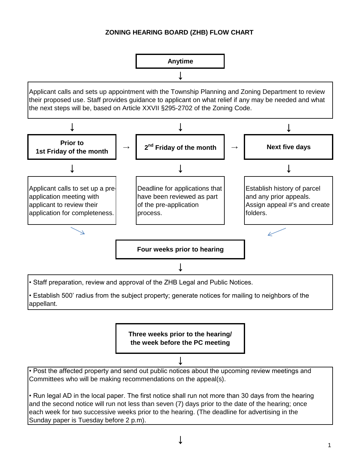## **ZONING HEARING BOARD (ZHB) FLOW CHART**